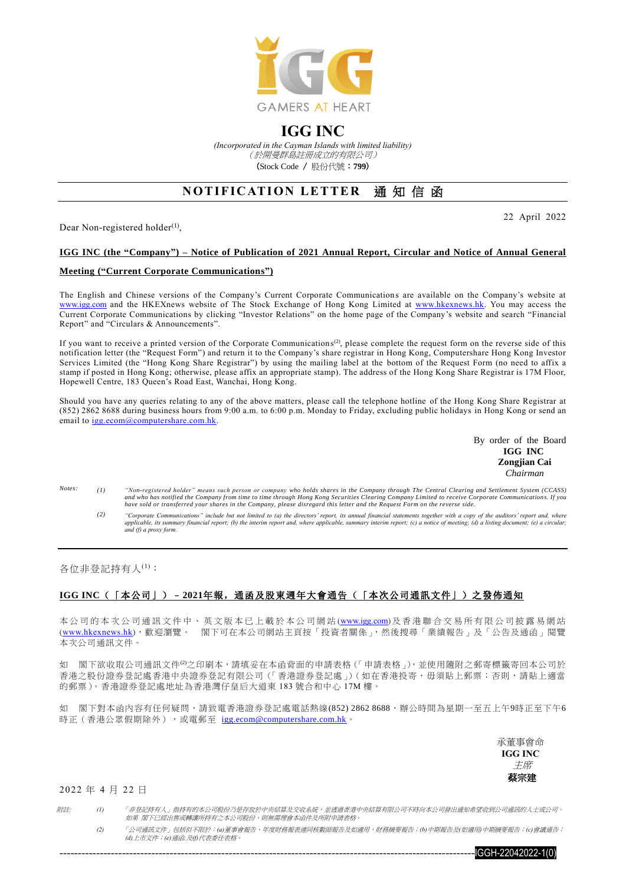

## **IGG INC**

*(Incorporated in the Cayman Islands with limited liability)* (於開曼群島註冊成立的有限公司) (Stock Code / 股份代號:**799**)

# **NOTIFICATION LETTER 涌知信函**

Dear Non-registered holder<sup>(1)</sup>,

22 April 2022

## **IGG INC (the "Company") – Notice of Publication of 2021 Annual Report, Circular and Notice of Annual General**

#### **Meeting ("Current Corporate Communications")**

The English and Chinese versions of the Company's Current Corporate Communication s are available on the Company's website at [www.igg.com](http://www.igg.com/) and the HKEXnews website of The Stock Exchange of Hong Kong Limited at [www.hkexnews.hk.](http://www.hkexnews.hk/) You may access the Current Corporate Communications by clicking "Investor Relations" on the home page of the Company's website and search "Financial Report" and "Circulars & Announcements".

If you want to receive a printed version of the Corporate Communications<sup>(2)</sup>, please complete the request form on the reverse side of this notification letter (the "Request Form") and return it to the Company's share registrar in Hong Kong, Computershare Hong Kong Investor Services Limited (the "Hong Kong Share Registrar") by using the mailing label at the bottom of the Request Form (no need to affix a stamp if posted in Hong Kong; otherwise, please affix an appropriate stamp). The address of the Hong Kong Share Registrar is 17M Floor, Hopewell Centre, 183 Queen's Road East, Wanchai, Hong Kong.

Should you have any queries relating to any of the above matters, please call the telephone hotline of the Hong Kong Share Registrar at (852) 2862 8688 during business hours from 9:00 a.m. to 6:00 p.m. Monday to Friday, excluding public holidays in Hong Kong or send an email to [igg.ecom@computershare.com.hk.](mailto:igg.ecom@computershare.com.hk)

> By order of the Board **IGG INC Zongjian Cai** *Chairman*

- Notes. *Notes: (1) "Non-registered holder" means such person or company who holds shares in the Company through The Central Clearing and Settlement System (CCASS) and who has notified the Company from time to time through Hong Kong Securities Clearing Company Limited to receive Corporate Communications. If you have sold or transferred your shares in the Company, please disregard this letter and the Request Form on the reverse side.*
	- (2) "Corporate Communications" include but not limited to (a) the directors' report, its annual financial statements together with a copy of the auditors' report and, where applicable, its summary financial report; (b) the interim report and, where applicable, summary interim report; (c) a notice of meeting; (d) a listing document; (e) a circular;<br>and (f) a proxy form.

各位非登記持有人(1):

### **IGG INC**(「本公司」)–**2021**年報,通函及股東週年大會通告(「本次公司通訊文件」)之發佈通知

本公司的本次公司通訊文件中、英文版本已上載於本公司網站([www.igg.com](http://www.igg.com/))及香港聯合交易所有限公司披露易網站 ([www.hkexnews.hk](http://www.hkexnews.hk/index_c.htm)),歡迎瀏覽。 閣下可在本公司網站主頁按「投資者關係」,然後搜尋「業績報告」及「公告及通函」閱覽 本次公司通訊文件。

如 閣下欲收取公司通訊文件<sup>(2)</sup>之印刷本,請填妥在本函背面的申請表格(「申請表格」),並使用隨附之郵寄標籤寄回本公司於 香港之股份證券登記處香港中央證券登記有限公司(「香港證券登記處」)(如在香港投寄,毋須貼上郵票;否則,請貼上適當 的郵票)。香港證券登記處地址為香港灣仔皇后大道東 183 號合和中心 17M 樓。

如 閣下對本函內容有任何疑問,請致電香港證券登記處電話熱線(852) 2862 8688,辦公時間為星期一至五上午9時正至下午6 時正(香港公眾假期除外),或電郵至 [igg.ecom@computershare.com.hk](mailto:igg.ecom@computershare.com.hk)。

> 承董事會命 **IGG INC** 主席 蔡宗建

#### 2022 年 4 月 22 日

附註: *(1)* 「非登記持有人」指持有的本公司股份乃是存放於中央結算及交收系統,並透過香港中央結算有限公司不時向本公司發出通知希望收到公司通訊的人士或公司。 如果 閣下已經出售或轉讓所持有之本公司股份,則無需理會本函件及所附申請表格。

*(2)* 「公司通訊文件」包括但不限於:*(a)*董事會報告、年度財務報表連同核數師報告及如適用,財務摘要報告;*(b)*中期報告及*(*如適用*)*中期摘要報告;*(c)*會議通告; *(d)*上市文件;*(e)*通函*;*及*(f)*代表委任表格。